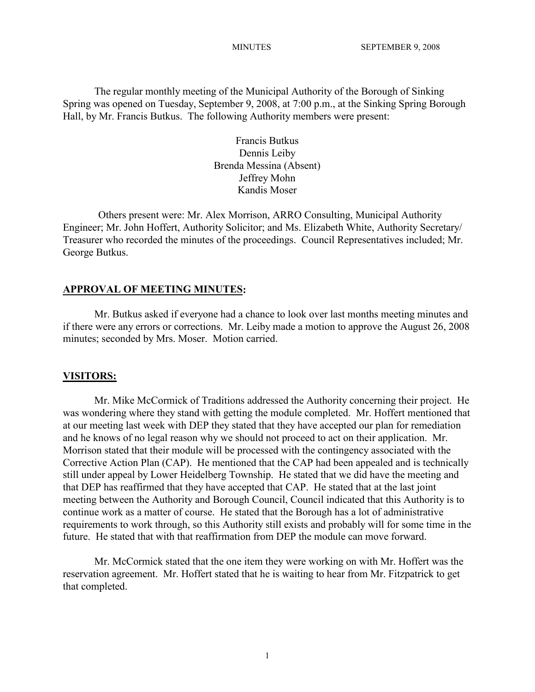The regular monthly meeting of the Municipal Authority of the Borough of Sinking Spring was opened on Tuesday, September 9, 2008, at 7:00 p.m., at the Sinking Spring Borough Hall, by Mr. Francis Butkus. The following Authority members were present:

> Francis Butkus Dennis Leiby Brenda Messina (Absent) Jeffrey Mohn Kandis Moser

Others present were: Mr. Alex Morrison, ARRO Consulting, Municipal Authority Engineer; Mr. John Hoffert, Authority Solicitor; and Ms. Elizabeth White, Authority Secretary/ Treasurer who recorded the minutes of the proceedings. Council Representatives included; Mr. George Butkus.

#### **APPROVAL OF MEETING MINUTES:**

Mr. Butkus asked if everyone had a chance to look over last months meeting minutes and if there were any errors or corrections. Mr. Leiby made a motion to approve the August 26, 2008 minutes; seconded by Mrs. Moser. Motion carried.

#### **VISITORS:**

Mr. Mike McCormick of Traditions addressed the Authority concerning their project. He was wondering where they stand with getting the module completed. Mr. Hoffert mentioned that at our meeting last week with DEP they stated that they have accepted our plan for remediation and he knows of no legal reason why we should not proceed to act on their application. Mr. Morrison stated that their module will be processed with the contingency associated with the Corrective Action Plan (CAP). He mentioned that the CAP had been appealed and is technically still under appeal by Lower Heidelberg Township. He stated that we did have the meeting and that DEP has reaffirmed that they have accepted that CAP. He stated that at the last joint meeting between the Authority and Borough Council, Council indicated that this Authority is to continue work as a matter of course. He stated that the Borough has a lot of administrative requirements to work through, so this Authority still exists and probably will for some time in the future. He stated that with that reaffirmation from DEP the module can move forward.

Mr. McCormick stated that the one item they were working on with Mr. Hoffert was the reservation agreement. Mr. Hoffert stated that he is waiting to hear from Mr. Fitzpatrick to get that completed.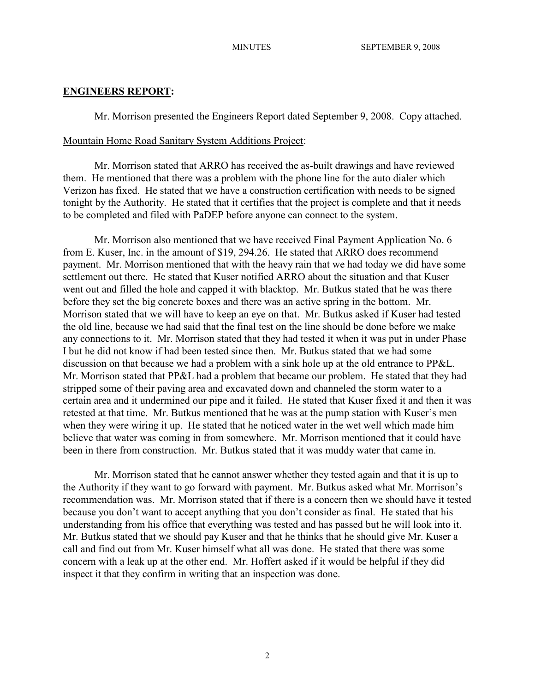## **ENGINEERS REPORT:**

Mr. Morrison presented the Engineers Report dated September 9, 2008. Copy attached.

#### Mountain Home Road Sanitary System Additions Project:

Mr. Morrison stated that ARRO has received the as-built drawings and have reviewed them. He mentioned that there was a problem with the phone line for the auto dialer which Verizon has fixed. He stated that we have a construction certification with needs to be signed tonight by the Authority. He stated that it certifies that the project is complete and that it needs to be completed and filed with PaDEP before anyone can connect to the system.

Mr. Morrison also mentioned that we have received Final Payment Application No. 6 from E. Kuser, Inc. in the amount of \$19, 294.26. He stated that ARRO does recommend payment. Mr. Morrison mentioned that with the heavy rain that we had today we did have some settlement out there. He stated that Kuser notified ARRO about the situation and that Kuser went out and filled the hole and capped it with blacktop. Mr. Butkus stated that he was there before they set the big concrete boxes and there was an active spring in the bottom. Mr. Morrison stated that we will have to keep an eye on that. Mr. Butkus asked if Kuser had tested the old line, because we had said that the final test on the line should be done before we make any connections to it. Mr. Morrison stated that they had tested it when it was put in under Phase I but he did not know if had been tested since then. Mr. Butkus stated that we had some discussion on that because we had a problem with a sink hole up at the old entrance to PP&L. Mr. Morrison stated that PP&L had a problem that became our problem. He stated that they had stripped some of their paving area and excavated down and channeled the storm water to a certain area and it undermined our pipe and it failed. He stated that Kuser fixed it and then it was retested at that time. Mr. Butkus mentioned that he was at the pump station with Kuser's men when they were wiring it up. He stated that he noticed water in the wet well which made him believe that water was coming in from somewhere. Mr. Morrison mentioned that it could have been in there from construction. Mr. Butkus stated that it was muddy water that came in.

Mr. Morrison stated that he cannot answer whether they tested again and that it is up to the Authority if they want to go forward with payment. Mr. Butkus asked what Mr. Morrison's recommendation was. Mr. Morrison stated that if there is a concern then we should have it tested because you don't want to accept anything that you don't consider as final. He stated that his understanding from his office that everything was tested and has passed but he will look into it. Mr. Butkus stated that we should pay Kuser and that he thinks that he should give Mr. Kuser a call and find out from Mr. Kuser himself what all was done. He stated that there was some concern with a leak up at the other end. Mr. Hoffert asked if it would be helpful if they did inspect it that they confirm in writing that an inspection was done.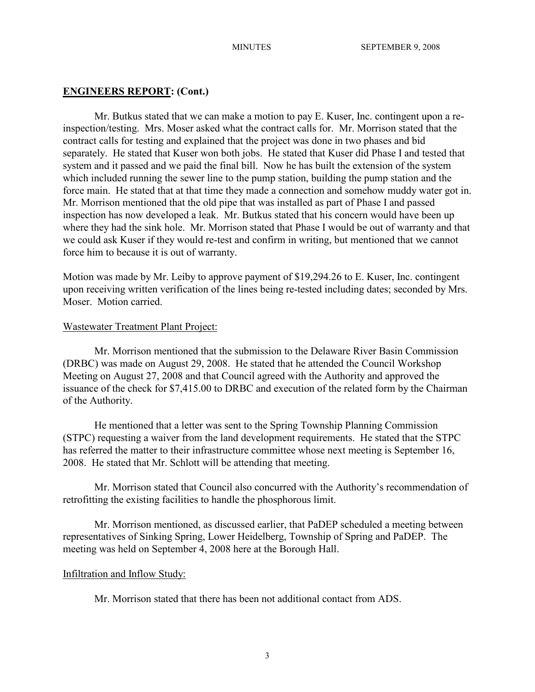#### **ENGINEERS REPORT: (Cont.)**

Mr. Butkus stated that we can make a motion to pay E. Kuser, Inc. contingent upon a reinspection/testing. Mrs. Moser asked what the contract calls for. Mr. Morrison stated that the contract calls for testing and explained that the project was done in two phases and bid separately. He stated that Kuser won both jobs. He stated that Kuser did Phase I and tested that system and it passed and we paid the final bill. Now he has built the extension of the system which included running the sewer line to the pump station, building the pump station and the force main. He stated that at that time they made a connection and somehow muddy water got in. Mr. Morrison mentioned that the old pipe that was installed as part of Phase I and passed inspection has now developed a leak. Mr. Butkus stated that his concern would have been up where they had the sink hole. Mr. Morrison stated that Phase I would be out of warranty and that we could ask Kuser if they would re-test and confirm in writing, but mentioned that we cannot force him to because it is out of warranty.

Motion was made by Mr. Leiby to approve payment of \$19,294.26 to E. Kuser, Inc. contingent upon receiving written verification of the lines being re-tested including dates; seconded by Mrs. Moser. Motion carried.

#### Wastewater Treatment Plant Project:

Mr. Morrison mentioned that the submission to the Delaware River Basin Commission (DRBC) was made on August 29, 2008. He stated that he attended the Council Workshop Meeting on August 27, 2008 and that Council agreed with the Authority and approved the issuance of the check for \$7,415.00 to DRBC and execution of the related form by the Chairman of the Authority.

He mentioned that a letter was sent to the Spring Township Planning Commission (STPC) requesting a waiver from the land development requirements. He stated that the STPC has referred the matter to their infrastructure committee whose next meeting is September 16, 2008. He stated that Mr. Schlott will be attending that meeting.

Mr. Morrison stated that Council also concurred with the Authority's recommendation of retrofitting the existing facilities to handle the phosphorous limit.

Mr. Morrison mentioned, as discussed earlier, that PaDEP scheduled a meeting between representatives of Sinking Spring, Lower Heidelberg, Township of Spring and PaDEP. The meeting was held on September 4, 2008 here at the Borough Hall.

## Infiltration and Inflow Study:

Mr. Morrison stated that there has been not additional contact from ADS.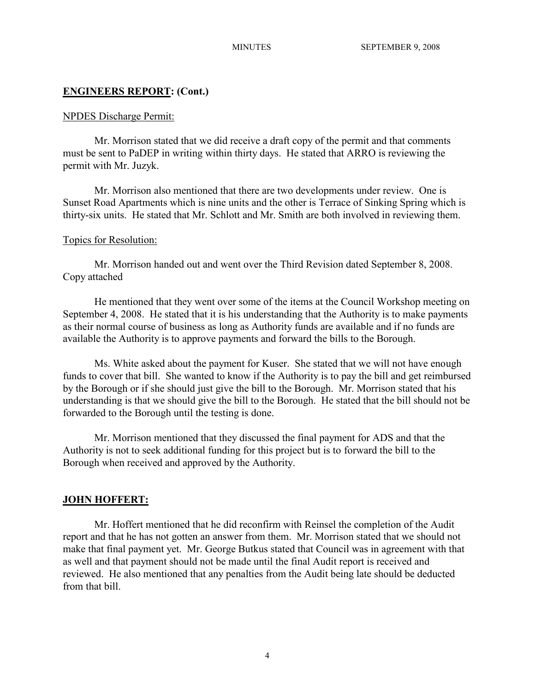# **ENGINEERS REPORT: (Cont.)**

## NPDES Discharge Permit:

Mr. Morrison stated that we did receive a draft copy of the permit and that comments must be sent to PaDEP in writing within thirty days. He stated that ARRO is reviewing the permit with Mr. Juzyk.

Mr. Morrison also mentioned that there are two developments under review. One is Sunset Road Apartments which is nine units and the other is Terrace of Sinking Spring which is thirty-six units. He stated that Mr. Schlott and Mr. Smith are both involved in reviewing them.

## Topics for Resolution:

Mr. Morrison handed out and went over the Third Revision dated September 8, 2008. Copy attached

He mentioned that they went over some of the items at the Council Workshop meeting on September 4, 2008. He stated that it is his understanding that the Authority is to make payments as their normal course of business as long as Authority funds are available and if no funds are available the Authority is to approve payments and forward the bills to the Borough.

Ms. White asked about the payment for Kuser. She stated that we will not have enough funds to cover that bill. She wanted to know if the Authority is to pay the bill and get reimbursed by the Borough or if she should just give the bill to the Borough. Mr. Morrison stated that his understanding is that we should give the bill to the Borough. He stated that the bill should not be forwarded to the Borough until the testing is done.

Mr. Morrison mentioned that they discussed the final payment for ADS and that the Authority is not to seek additional funding for this project but is to forward the bill to the Borough when received and approved by the Authority.

# **JOHN HOFFERT:**

Mr. Hoffert mentioned that he did reconfirm with Reinsel the completion of the Audit report and that he has not gotten an answer from them. Mr. Morrison stated that we should not make that final payment yet. Mr. George Butkus stated that Council was in agreement with that as well and that payment should not be made until the final Audit report is received and reviewed. He also mentioned that any penalties from the Audit being late should be deducted from that bill.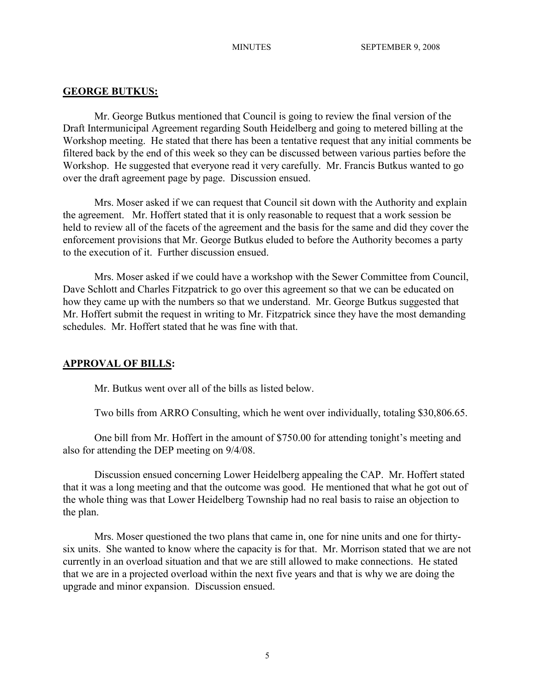## **GEORGE BUTKUS:**

Mr. George Butkus mentioned that Council is going to review the final version of the Draft Intermunicipal Agreement regarding South Heidelberg and going to metered billing at the Workshop meeting. He stated that there has been a tentative request that any initial comments be filtered back by the end of this week so they can be discussed between various parties before the Workshop. He suggested that everyone read it very carefully. Mr. Francis Butkus wanted to go over the draft agreement page by page. Discussion ensued.

Mrs. Moser asked if we can request that Council sit down with the Authority and explain the agreement. Mr. Hoffert stated that it is only reasonable to request that a work session be held to review all of the facets of the agreement and the basis for the same and did they cover the enforcement provisions that Mr. George Butkus eluded to before the Authority becomes a party to the execution of it. Further discussion ensued.

Mrs. Moser asked if we could have a workshop with the Sewer Committee from Council, Dave Schlott and Charles Fitzpatrick to go over this agreement so that we can be educated on how they came up with the numbers so that we understand. Mr. George Butkus suggested that Mr. Hoffert submit the request in writing to Mr. Fitzpatrick since they have the most demanding schedules. Mr. Hoffert stated that he was fine with that.

## **APPROVAL OF BILLS:**

Mr. Butkus went over all of the bills as listed below.

Two bills from ARRO Consulting, which he went over individually, totaling \$30,806.65.

One bill from Mr. Hoffert in the amount of \$750.00 for attending tonight's meeting and also for attending the DEP meeting on 9/4/08.

Discussion ensued concerning Lower Heidelberg appealing the CAP. Mr. Hoffert stated that it was a long meeting and that the outcome was good. He mentioned that what he got out of the whole thing was that Lower Heidelberg Township had no real basis to raise an objection to the plan.

Mrs. Moser questioned the two plans that came in, one for nine units and one for thirtysix units. She wanted to know where the capacity is for that. Mr. Morrison stated that we are not currently in an overload situation and that we are still allowed to make connections. He stated that we are in a projected overload within the next five years and that is why we are doing the upgrade and minor expansion. Discussion ensued.